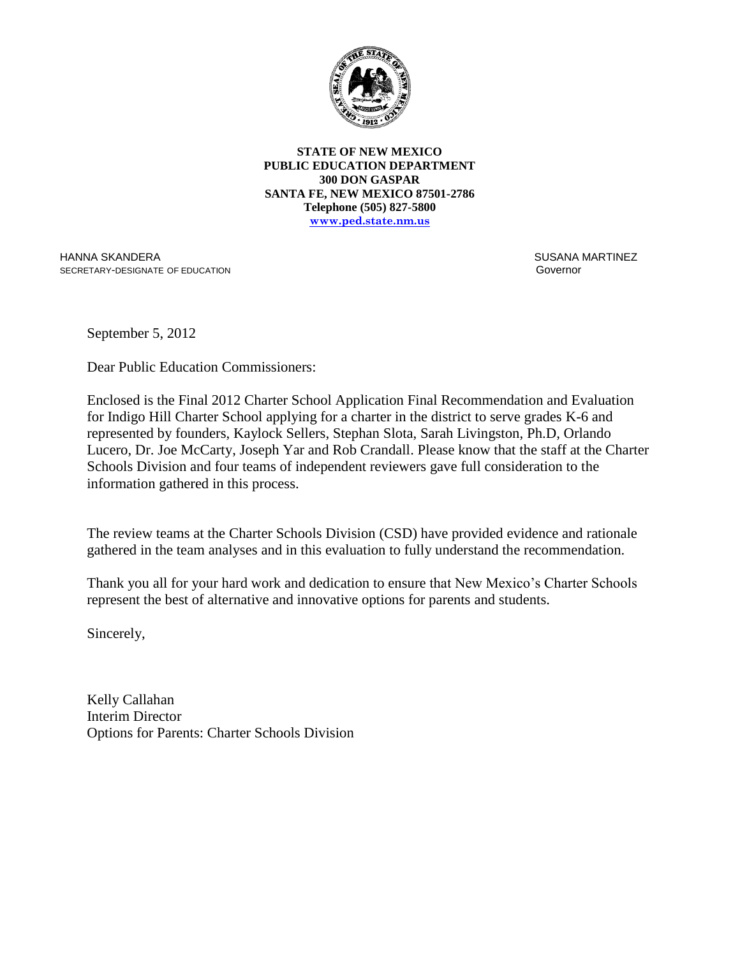

**STATE OF NEW MEXICO PUBLIC EDUCATION DEPARTMENT 300 DON GASPAR SANTA FE, NEW MEXICO 87501-2786 Telephone (505) 827-5800 www.ped.state.nm.us**

HANNA SKANDERA SECRETARY-DESIGNATE OF EDUCATION  SUSANA MARTINEZ Governor

September 5, 2012

Dear Public Education Commissioners:

Enclosed is the Final 2012 Charter School Application Final Recommendation and Evaluation for Indigo Hill Charter School applying for a charter in the district to serve grades K-6 and represented by founders, Kaylock Sellers, Stephan Slota, Sarah Livingston, Ph.D, Orlando Lucero, Dr. Joe McCarty, Joseph Yar and Rob Crandall. Please know that the staff at the Charter Schools Division and four teams of independent reviewers gave full consideration to the information gathered in this process.

The review teams at the Charter Schools Division (CSD) have provided evidence and rationale gathered in the team analyses and in this evaluation to fully understand the recommendation.

Thank you all for your hard work and dedication to ensure that New Mexico's Charter Schools represent the best of alternative and innovative options for parents and students.

Sincerely,

Kelly Callahan Interim Director Options for Parents: Charter Schools Division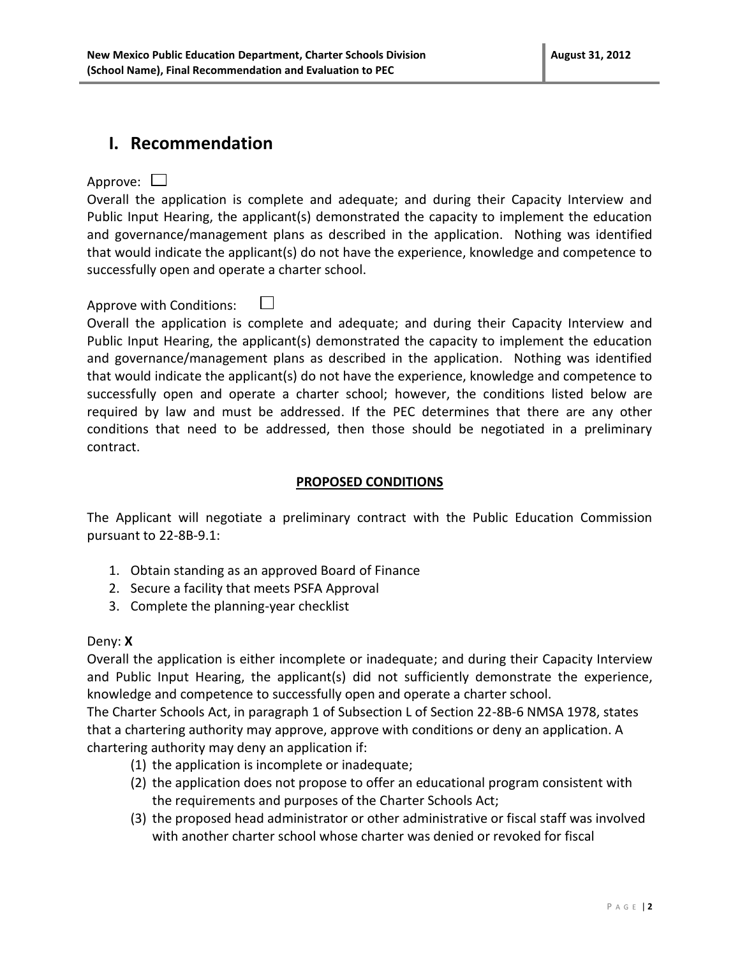## **I. Recommendation**

Approve:  $\Box$ 

Overall the application is complete and adequate; and during their Capacity Interview and Public Input Hearing, the applicant(s) demonstrated the capacity to implement the education and governance/management plans as described in the application. Nothing was identified that would indicate the applicant(s) do not have the experience, knowledge and competence to successfully open and operate a charter school.

### Approve with Conditions:  $\Box$

Overall the application is complete and adequate; and during their Capacity Interview and Public Input Hearing, the applicant(s) demonstrated the capacity to implement the education and governance/management plans as described in the application. Nothing was identified that would indicate the applicant(s) do not have the experience, knowledge and competence to successfully open and operate a charter school; however, the conditions listed below are required by law and must be addressed. If the PEC determines that there are any other conditions that need to be addressed, then those should be negotiated in a preliminary contract.

### **PROPOSED CONDITIONS**

The Applicant will negotiate a preliminary contract with the Public Education Commission pursuant to 22-8B-9.1:

- 1. Obtain standing as an approved Board of Finance
- 2. Secure a facility that meets PSFA Approval
- 3. Complete the planning-year checklist

### Deny: **X**

Overall the application is either incomplete or inadequate; and during their Capacity Interview and Public Input Hearing, the applicant(s) did not sufficiently demonstrate the experience, knowledge and competence to successfully open and operate a charter school.

The Charter Schools Act, in paragraph 1 of Subsection L of Section 22-8B-6 NMSA 1978, states that a chartering authority may approve, approve with conditions or deny an application. A chartering authority may deny an application if:

- (1) the application is incomplete or inadequate;
- (2) the application does not propose to offer an educational program consistent with the requirements and purposes of the Charter Schools Act;
- (3) the proposed head administrator or other administrative or fiscal staff was involved with another charter school whose charter was denied or revoked for fiscal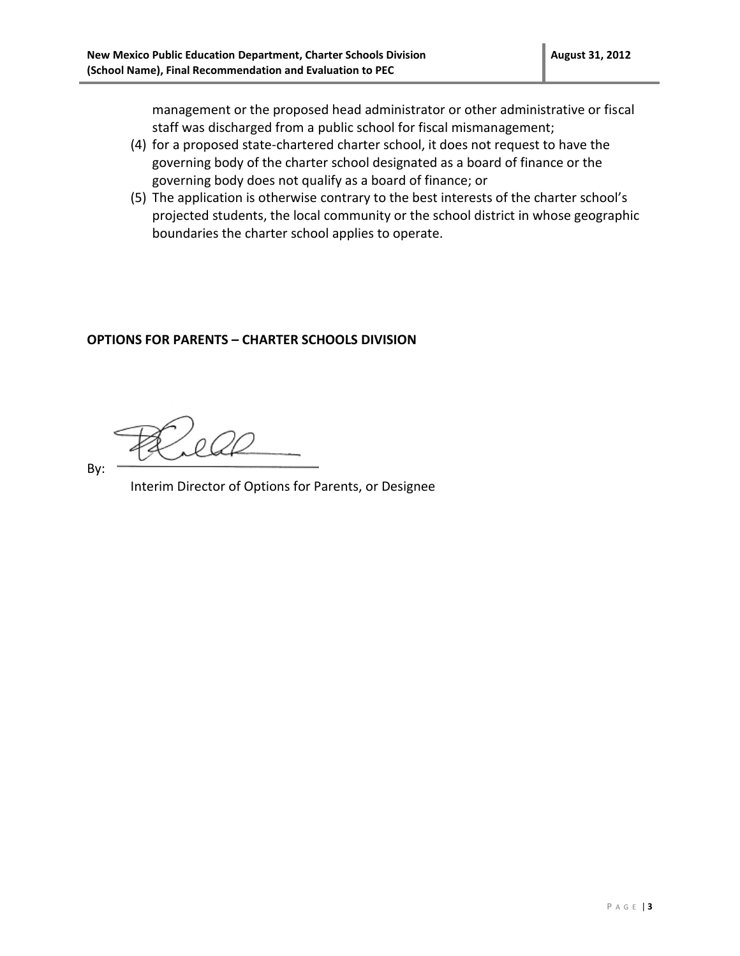management or the proposed head administrator or other administrative or fiscal staff was discharged from a public school for fiscal mismanagement;

- (4) for a proposed state-chartered charter school, it does not request to have the governing body of the charter school designated as a board of finance or the governing body does not qualify as a board of finance; or
- (5) The application is otherwise contrary to the best interests of the charter school's projected students, the local community or the school district in whose geographic boundaries the charter school applies to operate.

#### **OPTIONS FOR PARENTS – CHARTER SCHOOLS DIVISION**

By:

Interim Director of Options for Parents, or Designee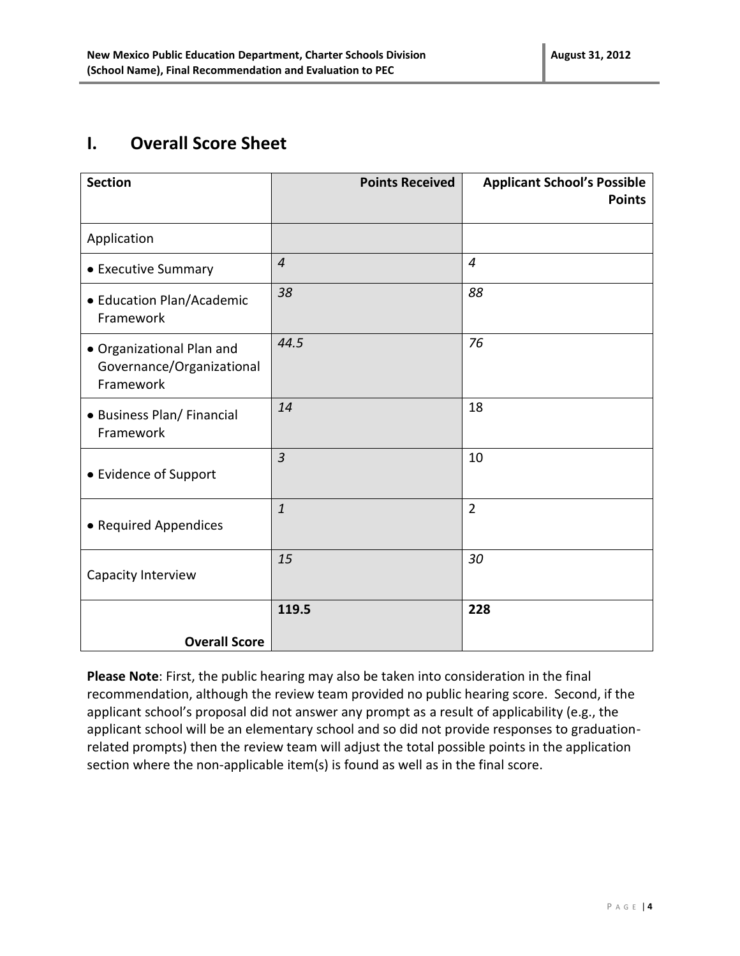# **I. Overall Score Sheet**

| <b>Section</b>                                                      | <b>Points Received</b> | <b>Applicant School's Possible</b><br><b>Points</b> |
|---------------------------------------------------------------------|------------------------|-----------------------------------------------------|
| Application                                                         |                        |                                                     |
| • Executive Summary                                                 | $\overline{4}$         | $\overline{4}$                                      |
| • Education Plan/Academic<br>Framework                              | 38                     | 88                                                  |
| · Organizational Plan and<br>Governance/Organizational<br>Framework | 44.5                   | 76                                                  |
| • Business Plan/ Financial<br>Framework                             | 14                     | 18                                                  |
| • Evidence of Support                                               | $\overline{3}$         | 10                                                  |
| • Required Appendices                                               | $\mathbf{1}$           | $\overline{2}$                                      |
| Capacity Interview                                                  | 15                     | 30                                                  |
| <b>Overall Score</b>                                                | 119.5                  | 228                                                 |

**Please Note**: First, the public hearing may also be taken into consideration in the final recommendation, although the review team provided no public hearing score. Second, if the applicant school's proposal did not answer any prompt as a result of applicability (e.g., the applicant school will be an elementary school and so did not provide responses to graduationrelated prompts) then the review team will adjust the total possible points in the application section where the non-applicable item(s) is found as well as in the final score.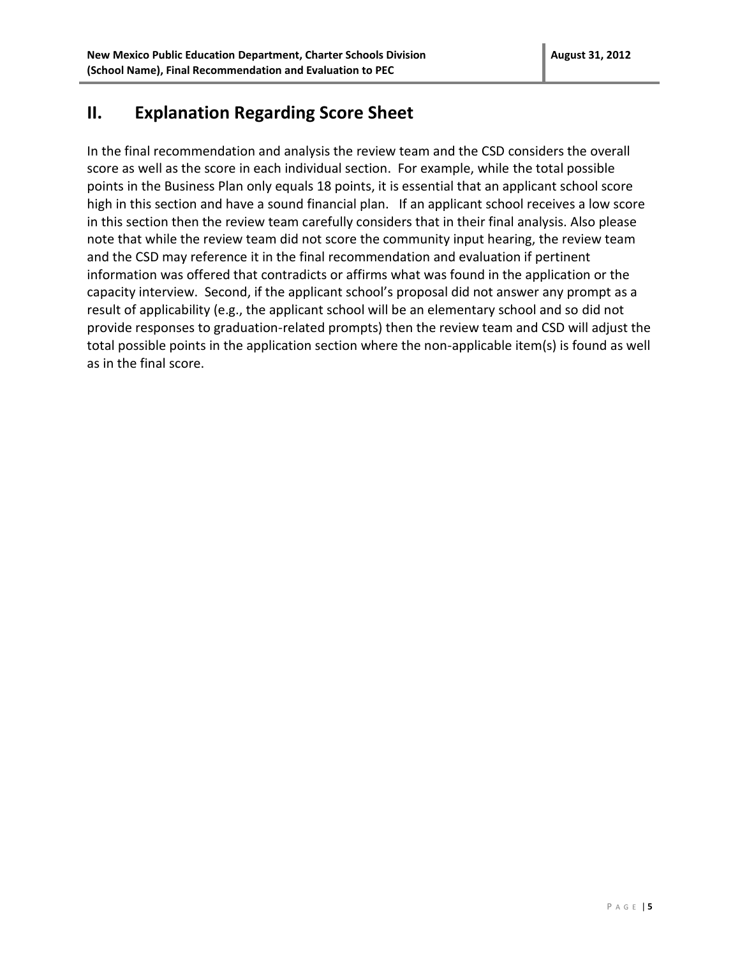## **II. Explanation Regarding Score Sheet**

In the final recommendation and analysis the review team and the CSD considers the overall score as well as the score in each individual section. For example, while the total possible points in the Business Plan only equals 18 points, it is essential that an applicant school score high in this section and have a sound financial plan. If an applicant school receives a low score in this section then the review team carefully considers that in their final analysis. Also please note that while the review team did not score the community input hearing, the review team and the CSD may reference it in the final recommendation and evaluation if pertinent information was offered that contradicts or affirms what was found in the application or the capacity interview. Second, if the applicant school's proposal did not answer any prompt as a result of applicability (e.g., the applicant school will be an elementary school and so did not provide responses to graduation-related prompts) then the review team and CSD will adjust the total possible points in the application section where the non-applicable item(s) is found as well as in the final score.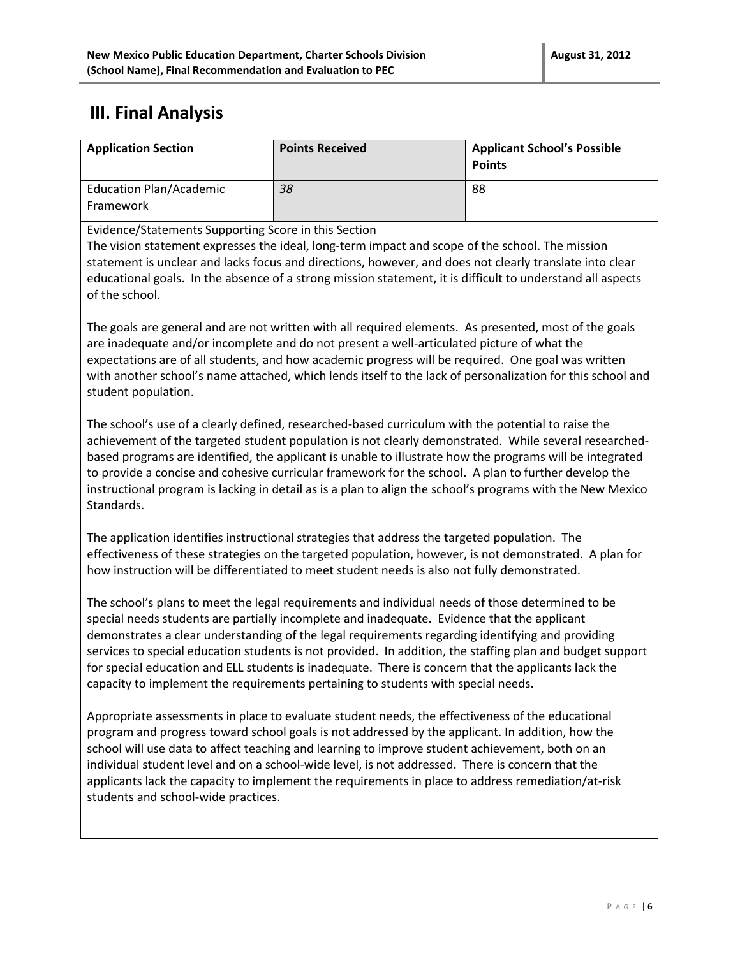# **III. Final Analysis**

| <b>Application Section</b>                           | <b>Points Received</b> | <b>Applicant School's Possible</b><br><b>Points</b> |
|------------------------------------------------------|------------------------|-----------------------------------------------------|
| <b>Education Plan/Academic</b><br>Framework          | 38                     | 88                                                  |
| Evidence/Statements Supporting Score in this Section |                        |                                                     |

Evidence/Statements Supporting Score in this Section

The vision statement expresses the ideal, long-term impact and scope of the school. The mission statement is unclear and lacks focus and directions, however, and does not clearly translate into clear educational goals. In the absence of a strong mission statement, it is difficult to understand all aspects of the school.

The goals are general and are not written with all required elements. As presented, most of the goals are inadequate and/or incomplete and do not present a well-articulated picture of what the expectations are of all students, and how academic progress will be required. One goal was written with another school's name attached, which lends itself to the lack of personalization for this school and student population.

The school's use of a clearly defined, researched-based curriculum with the potential to raise the achievement of the targeted student population is not clearly demonstrated. While several researchedbased programs are identified, the applicant is unable to illustrate how the programs will be integrated to provide a concise and cohesive curricular framework for the school. A plan to further develop the instructional program is lacking in detail as is a plan to align the school's programs with the New Mexico Standards.

The application identifies instructional strategies that address the targeted population. The effectiveness of these strategies on the targeted population, however, is not demonstrated. A plan for how instruction will be differentiated to meet student needs is also not fully demonstrated.

The school's plans to meet the legal requirements and individual needs of those determined to be special needs students are partially incomplete and inadequate. Evidence that the applicant demonstrates a clear understanding of the legal requirements regarding identifying and providing services to special education students is not provided. In addition, the staffing plan and budget support for special education and ELL students is inadequate. There is concern that the applicants lack the capacity to implement the requirements pertaining to students with special needs.

Appropriate assessments in place to evaluate student needs, the effectiveness of the educational program and progress toward school goals is not addressed by the applicant. In addition, how the school will use data to affect teaching and learning to improve student achievement, both on an individual student level and on a school-wide level, is not addressed. There is concern that the applicants lack the capacity to implement the requirements in place to address remediation/at-risk students and school-wide practices.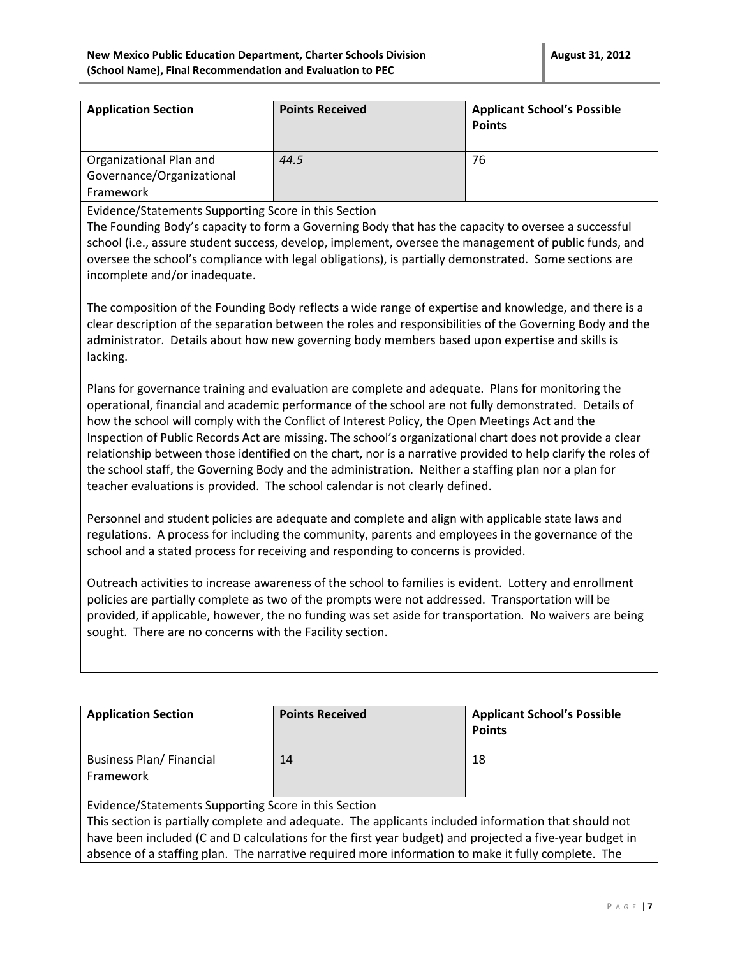| <b>Points Received</b> | <b>Applicant School's Possible</b><br><b>Points</b> |
|------------------------|-----------------------------------------------------|
| 44.5                   | 76                                                  |
|                        |                                                     |

Evidence/Statements Supporting Score in this Section

The Founding Body's capacity to form a Governing Body that has the capacity to oversee a successful school (i.e., assure student success, develop, implement, oversee the management of public funds, and oversee the school's compliance with legal obligations), is partially demonstrated. Some sections are incomplete and/or inadequate.

The composition of the Founding Body reflects a wide range of expertise and knowledge, and there is a clear description of the separation between the roles and responsibilities of the Governing Body and the administrator. Details about how new governing body members based upon expertise and skills is lacking.

Plans for governance training and evaluation are complete and adequate. Plans for monitoring the operational, financial and academic performance of the school are not fully demonstrated. Details of how the school will comply with the Conflict of Interest Policy, the Open Meetings Act and the Inspection of Public Records Act are missing. The school's organizational chart does not provide a clear relationship between those identified on the chart, nor is a narrative provided to help clarify the roles of the school staff, the Governing Body and the administration. Neither a staffing plan nor a plan for teacher evaluations is provided. The school calendar is not clearly defined.

Personnel and student policies are adequate and complete and align with applicable state laws and regulations. A process for including the community, parents and employees in the governance of the school and a stated process for receiving and responding to concerns is provided.

Outreach activities to increase awareness of the school to families is evident. Lottery and enrollment policies are partially complete as two of the prompts were not addressed. Transportation will be provided, if applicable, however, the no funding was set aside for transportation. No waivers are being sought. There are no concerns with the Facility section.

| <b>Application Section</b>                                                                                                                                                                                                                                                                                                                                                    | <b>Points Received</b> | <b>Applicant School's Possible</b><br><b>Points</b> |
|-------------------------------------------------------------------------------------------------------------------------------------------------------------------------------------------------------------------------------------------------------------------------------------------------------------------------------------------------------------------------------|------------------------|-----------------------------------------------------|
| <b>Business Plan/Financial</b><br>Framework                                                                                                                                                                                                                                                                                                                                   | 14                     | 18                                                  |
| Evidence/Statements Supporting Score in this Section<br>This section is partially complete and adequate. The applicants included information that should not<br>have been included (C and D calculations for the first year budget) and projected a five-year budget in<br>absence of a staffing plan. The narrative required more information to make it fully complete. The |                        |                                                     |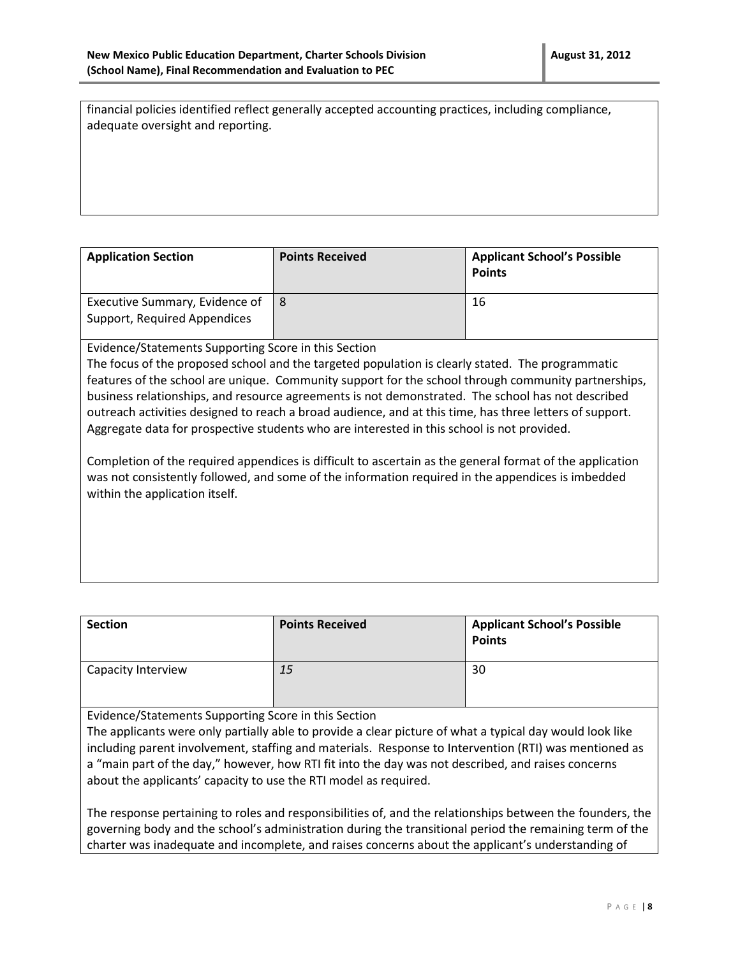financial policies identified reflect generally accepted accounting practices, including compliance, adequate oversight and reporting.

| <b>Application Section</b>                                     | <b>Points Received</b> | <b>Applicant School's Possible</b><br><b>Points</b> |
|----------------------------------------------------------------|------------------------|-----------------------------------------------------|
| Executive Summary, Evidence of<br>Support, Required Appendices |                        | 16                                                  |

Evidence/Statements Supporting Score in this Section

The focus of the proposed school and the targeted population is clearly stated. The programmatic features of the school are unique. Community support for the school through community partnerships, business relationships, and resource agreements is not demonstrated. The school has not described outreach activities designed to reach a broad audience, and at this time, has three letters of support. Aggregate data for prospective students who are interested in this school is not provided.

Completion of the required appendices is difficult to ascertain as the general format of the application was not consistently followed, and some of the information required in the appendices is imbedded within the application itself.

| <b>Section</b>     | <b>Points Received</b> | <b>Applicant School's Possible</b><br><b>Points</b> |
|--------------------|------------------------|-----------------------------------------------------|
| Capacity Interview | 15                     | 30                                                  |

Evidence/Statements Supporting Score in this Section

The applicants were only partially able to provide a clear picture of what a typical day would look like including parent involvement, staffing and materials. Response to Intervention (RTI) was mentioned as a "main part of the day," however, how RTI fit into the day was not described, and raises concerns about the applicants' capacity to use the RTI model as required.

The response pertaining to roles and responsibilities of, and the relationships between the founders, the governing body and the school's administration during the transitional period the remaining term of the charter was inadequate and incomplete, and raises concerns about the applicant's understanding of